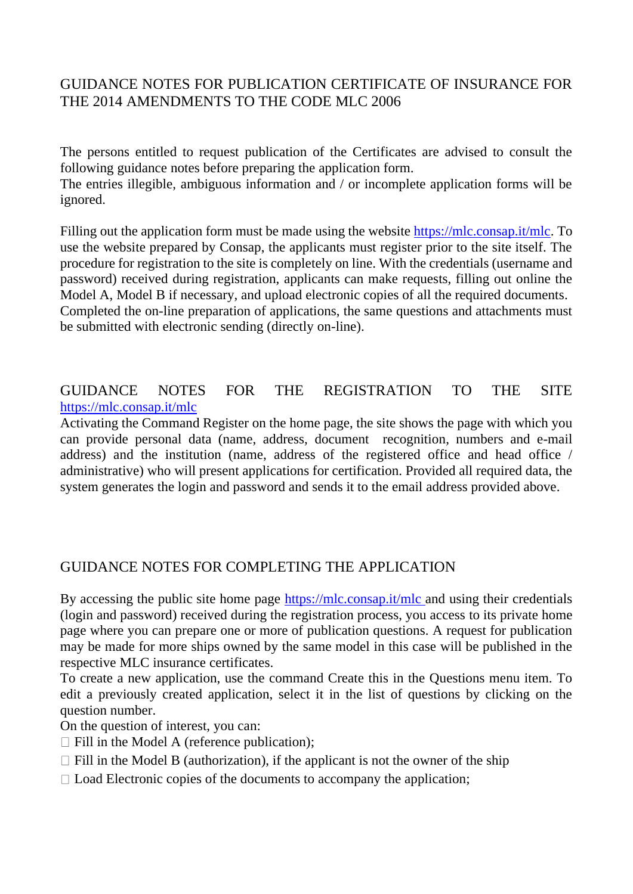## GUIDANCE NOTES FOR PUBLICATION CERTIFICATE OF INSURANCE FOR THE 2014 AMENDMENTS TO THE CODE MLC 2006

The persons entitled to request publication of the Certificates are advised to consult the following guidance notes before preparing the application form.

The entries illegible, ambiguous information and / or incomplete application forms will be ignored.

Filling out the application form must be made using the website [https://mlc.consap.it/mlc.](https://mlc.consap.it/mlc) To use the website prepared by Consap, the applicants must register prior to the site itself. The procedure for registration to the site is completely on line. With the credentials (username and password) received during registration, applicants can make requests, filling out online the Model A, Model B if necessary, and upload electronic copies of all the required documents. Completed the on-line preparation of applications, the same questions and attachments must be submitted with electronic sending (directly on-line).

### GUIDANCE NOTES FOR THE REGISTRATION TO THE SITE <https://mlc.consap.it/mlc>

Activating the Command Register on the home page, the site shows the page with which you can provide personal data (name, address, document recognition, numbers and e-mail address) and the institution (name, address of the registered office and head office / administrative) who will present applications for certification. Provided all required data, the system generates the login and password and sends it to the email address provided above.

### GUIDANCE NOTES FOR COMPLETING THE APPLICATION

By accessing the public site home page<https://mlc.consap.it/mlc> and using their credentials (login and password) received during the registration process, you access to its private home page where you can prepare one or more of publication questions. A request for publication may be made for more ships owned by the same model in this case will be published in the respective MLC insurance certificates.

To create a new application, use the command Create this in the Questions menu item. To edit a previously created application, select it in the list of questions by clicking on the question number.

On the question of interest, you can:

- $\Box$  Fill in the Model A (reference publication);
- $\Box$  Fill in the Model B (authorization), if the applicant is not the owner of the ship
- $\Box$  Load Electronic copies of the documents to accompany the application;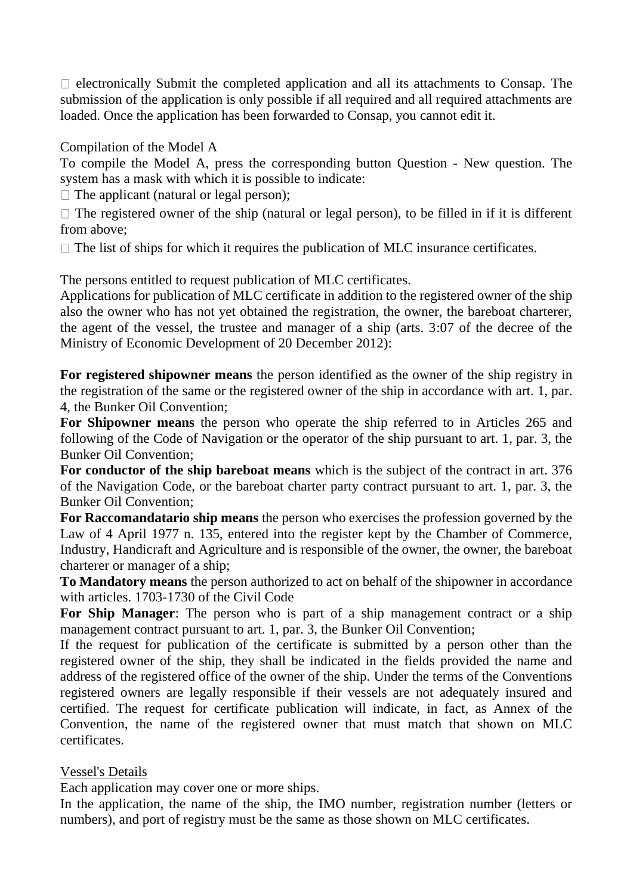$\Box$  electronically Submit the completed application and all its attachments to Consap. The submission of the application is only possible if all required and all required attachments are loaded. Once the application has been forwarded to Consap, you cannot edit it.

Compilation of the Model A

To compile the Model A, press the corresponding button Question - New question. The system has a mask with which it is possible to indicate:

 $\Box$  The applicant (natural or legal person):

 $\Box$  The registered owner of the ship (natural or legal person), to be filled in if it is different from above;

 $\Box$  The list of ships for which it requires the publication of MLC insurance certificates.

The persons entitled to request publication of MLC certificates.

Applications for publication of MLC certificate in addition to the registered owner of the ship also the owner who has not yet obtained the registration, the owner, the bareboat charterer, the agent of the vessel, the trustee and manager of a ship (arts. 3:07 of the decree of the Ministry of Economic Development of 20 December 2012):

**For registered shipowner means** the person identified as the owner of the ship registry in the registration of the same or the registered owner of the ship in accordance with art. 1, par. 4, the Bunker Oil Convention;

**For Shipowner means** the person who operate the ship referred to in Articles 265 and following of the Code of Navigation or the operator of the ship pursuant to art. 1, par. 3, the Bunker Oil Convention;

**For conductor of the ship bareboat means** which is the subject of the contract in art. 376 of the Navigation Code, or the bareboat charter party contract pursuant to art. 1, par. 3, the Bunker Oil Convention;

**For Raccomandatario ship means** the person who exercises the profession governed by the Law of 4 April 1977 n. 135, entered into the register kept by the Chamber of Commerce, Industry, Handicraft and Agriculture and is responsible of the owner, the owner, the bareboat charterer or manager of a ship;

**To Mandatory means** the person authorized to act on behalf of the shipowner in accordance with articles. 1703-1730 of the Civil Code

**For Ship Manager**: The person who is part of a ship management contract or a ship management contract pursuant to art. 1, par. 3, the Bunker Oil Convention;

If the request for publication of the certificate is submitted by a person other than the registered owner of the ship, they shall be indicated in the fields provided the name and address of the registered office of the owner of the ship. Under the terms of the Conventions registered owners are legally responsible if their vessels are not adequately insured and certified. The request for certificate publication will indicate, in fact, as Annex of the Convention, the name of the registered owner that must match that shown on MLC certificates.

### Vessel's Details

Each application may cover one or more ships.

In the application, the name of the ship, the IMO number, registration number (letters or numbers), and port of registry must be the same as those shown on MLC certificates.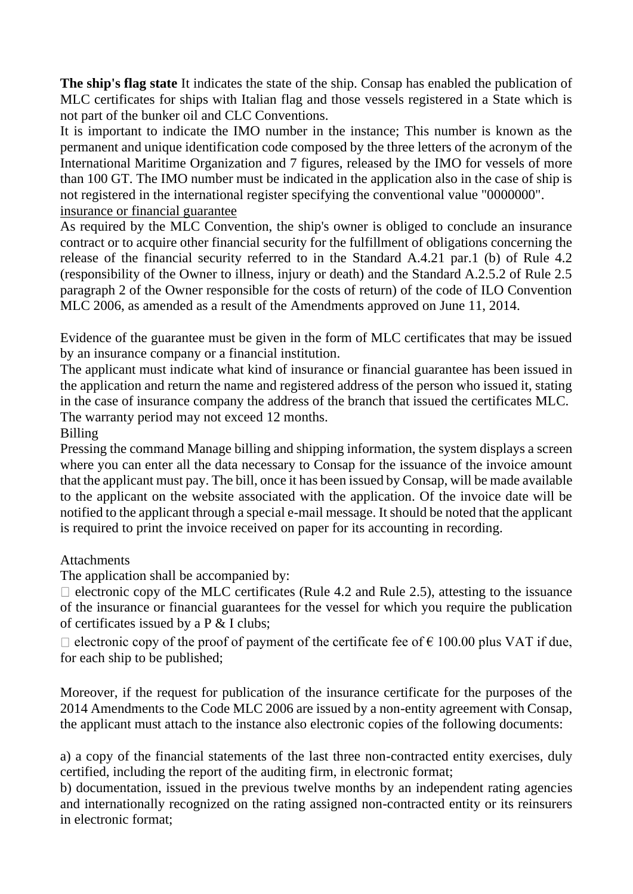**The ship's flag state** It indicates the state of the ship. Consap has enabled the publication of MLC certificates for ships with Italian flag and those vessels registered in a State which is not part of the bunker oil and CLC Conventions.

It is important to indicate the IMO number in the instance; This number is known as the permanent and unique identification code composed by the three letters of the acronym of the International Maritime Organization and 7 figures, released by the IMO for vessels of more than 100 GT. The IMO number must be indicated in the application also in the case of ship is not registered in the international register specifying the conventional value "0000000". insurance or financial guarantee

As required by the MLC Convention, the ship's owner is obliged to conclude an insurance contract or to acquire other financial security for the fulfillment of obligations concerning the release of the financial security referred to in the Standard A.4.21 par.1 (b) of Rule 4.2 (responsibility of the Owner to illness, injury or death) and the Standard A.2.5.2 of Rule 2.5 paragraph 2 of the Owner responsible for the costs of return) of the code of ILO Convention MLC 2006, as amended as a result of the Amendments approved on June 11, 2014.

Evidence of the guarantee must be given in the form of MLC certificates that may be issued by an insurance company or a financial institution.

The applicant must indicate what kind of insurance or financial guarantee has been issued in the application and return the name and registered address of the person who issued it, stating in the case of insurance company the address of the branch that issued the certificates MLC. The warranty period may not exceed 12 months.

### Billing

Pressing the command Manage billing and shipping information, the system displays a screen where you can enter all the data necessary to Consap for the issuance of the invoice amount that the applicant must pay. The bill, once it has been issued by Consap, will be made available to the applicant on the website associated with the application. Of the invoice date will be notified to the applicant through a special e-mail message. It should be noted that the applicant is required to print the invoice received on paper for its accounting in recording.

### Attachments

The application shall be accompanied by:

 $\Box$  electronic copy of the MLC certificates (Rule 4.2 and Rule 2.5), attesting to the issuance of the insurance or financial guarantees for the vessel for which you require the publication of certificates issued by a P & I clubs;

 $\Box$  electronic copy of the proof of payment of the certificate fee of  $\epsilon$  100.00 plus VAT if due, for each ship to be published;

Moreover, if the request for publication of the insurance certificate for the purposes of the 2014 Amendments to the Code MLC 2006 are issued by a non-entity agreement with Consap, the applicant must attach to the instance also electronic copies of the following documents:

a) a copy of the financial statements of the last three non-contracted entity exercises, duly certified, including the report of the auditing firm, in electronic format;

b) documentation, issued in the previous twelve months by an independent rating agencies and internationally recognized on the rating assigned non-contracted entity or its reinsurers in electronic format;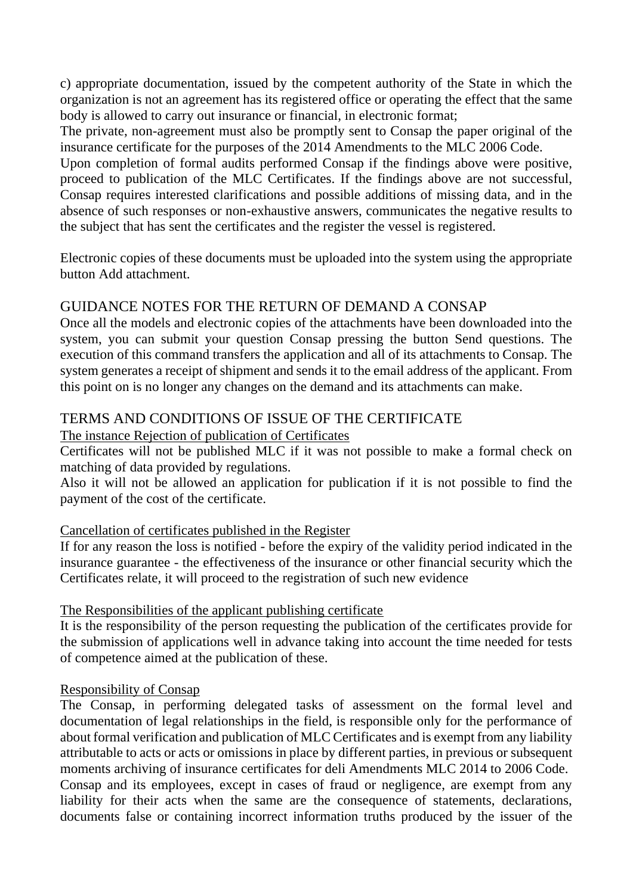c) appropriate documentation, issued by the competent authority of the State in which the organization is not an agreement has its registered office or operating the effect that the same body is allowed to carry out insurance or financial, in electronic format;

The private, non-agreement must also be promptly sent to Consap the paper original of the insurance certificate for the purposes of the 2014 Amendments to the MLC 2006 Code.

Upon completion of formal audits performed Consap if the findings above were positive, proceed to publication of the MLC Certificates. If the findings above are not successful, Consap requires interested clarifications and possible additions of missing data, and in the absence of such responses or non-exhaustive answers, communicates the negative results to the subject that has sent the certificates and the register the vessel is registered.

Electronic copies of these documents must be uploaded into the system using the appropriate button Add attachment.

### GUIDANCE NOTES FOR THE RETURN OF DEMAND A CONSAP

Once all the models and electronic copies of the attachments have been downloaded into the system, you can submit your question Consap pressing the button Send questions. The execution of this command transfers the application and all of its attachments to Consap. The system generates a receipt of shipment and sends it to the email address of the applicant. From this point on is no longer any changes on the demand and its attachments can make.

# TERMS AND CONDITIONS OF ISSUE OF THE CERTIFICATE

The instance Rejection of publication of Certificates

Certificates will not be published MLC if it was not possible to make a formal check on matching of data provided by regulations.

Also it will not be allowed an application for publication if it is not possible to find the payment of the cost of the certificate.

### Cancellation of certificates published in the Register

If for any reason the loss is notified - before the expiry of the validity period indicated in the insurance guarantee - the effectiveness of the insurance or other financial security which the Certificates relate, it will proceed to the registration of such new evidence

### The Responsibilities of the applicant publishing certificate

It is the responsibility of the person requesting the publication of the certificates provide for the submission of applications well in advance taking into account the time needed for tests of competence aimed at the publication of these.

### Responsibility of Consap

The Consap, in performing delegated tasks of assessment on the formal level and documentation of legal relationships in the field, is responsible only for the performance of about formal verification and publication of MLC Certificates and is exempt from any liability attributable to acts or acts or omissions in place by different parties, in previous or subsequent moments archiving of insurance certificates for deli Amendments MLC 2014 to 2006 Code. Consap and its employees, except in cases of fraud or negligence, are exempt from any liability for their acts when the same are the consequence of statements, declarations, documents false or containing incorrect information truths produced by the issuer of the